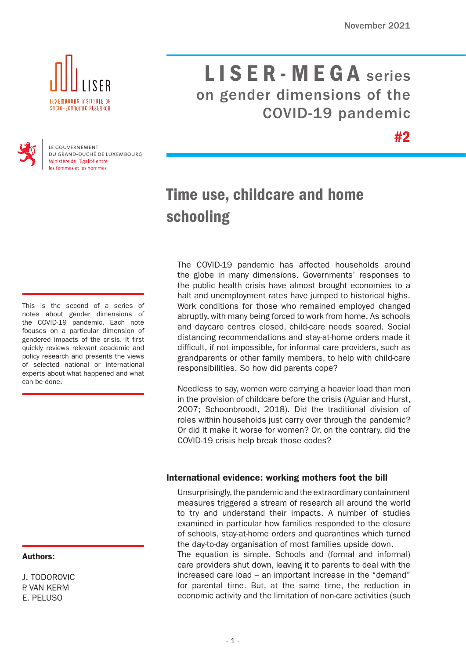#2



# LISER - MEGA series on gender dimensions of the COVID-19 pandemic



LE GOUVERNEMENT DU GRAND-DUCHÉ DE LUXEMBOURG Ministère de l'Égalité entre les femmes et les hommes

# Time use, childcare and home schooling

This is the second of a series of notes about gender dimensions of the COVID-19 pandemic. Each note focuses on a particular dimension of gendered impacts of the crisis. It first quickly reviews relevant academic and policy research and presents the views of selected national or international experts about what happened and what can be done.

# Authors:

J. TODOROVIC P. VAN KERM E. PELUSO

The COVID-19 pandemic has affected households around the globe in many dimensions. Governments' responses to the public health crisis have almost brought economies to a halt and unemployment rates have jumped to historical highs. Work conditions for those who remained employed changed abruptly, with many being forced to work from home. As schools and daycare centres closed, child-care needs soared. Social distancing recommendations and stay-at-home orders made it difficult, if not impossible, for informal care providers, such as grandparents or other family members, to help with child-care responsibilities. So how did parents cope?

Needless to say, women were carrying a heavier load than men in the provision of childcare before the crisis (Aguiar and Hurst, 2007; Schoonbroodt, 2018). Did the traditional division of roles within households just carry over through the pandemic? Or did it make it worse for women? Or, on the contrary, did the COVID-19 crisis help break those codes?

# International evidence: working mothers foot the bill

Unsurprisingly, the pandemic and the extraordinary containment measures triggered a stream of research all around the world to try and understand their impacts. A number of studies examined in particular how families responded to the closure of schools, stay-at-home orders and quarantines which turned the day-to-day organisation of most families upside down.

The equation is simple. Schools and (formal and informal) care providers shut down, leaving it to parents to deal with the increased care load – an important increase in the "demand" for parental time. But, at the same time, the reduction in economic activity and the limitation of non-care activities (such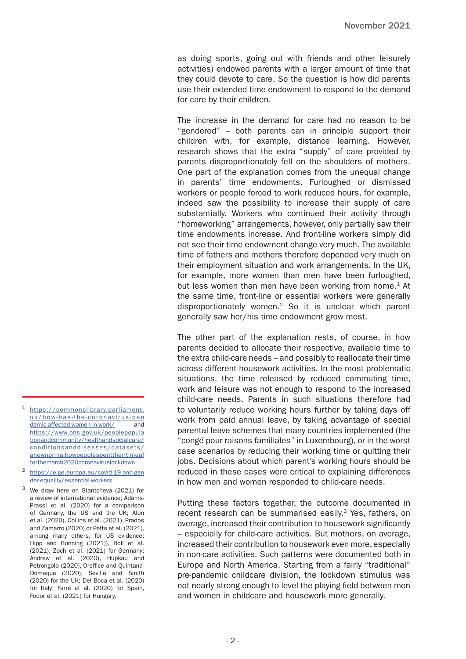as doing sports, going out with friends and other leisurely activities) endowed parents with a larger amount of time that they could devote to care. So the question is how did parents use their extended time endowment to respond to the demand for care by their children.

The increase in the demand for care had no reason to be "gendered" – both parents can in principle support their children with, for example, distance learning. However, research shows that the extra "supply" of care provided by parents disproportionately fell on the shoulders of mothers. One part of the explanation comes from the unequal change in parents' time endowments. Furloughed or dismissed workers or people forced to work reduced hours, for example, indeed saw the possibility to increase their supply of care substantially. Workers who continued their activity through "homeworking" arrangements, however, only partially saw their time endowments increase. And front-line workers simply did not see their time endowment change very much. The available time of fathers and mothers therefore depended very much on their employment situation and work arrangements. In the UK, for example, more women than men have been furloughed, but less women than men have been working from home. $1$  At the same time, front-line or essential workers were generally disproportionately women.2 So it is unclear which parent generally saw her/his time endowment grow most.

The other part of the explanation rests, of course, in how parents decided to allocate their respective, available time to the extra child-care needs – and possibly to reallocate their time across different housework activities. In the most problematic situations, the time released by reduced commuting time, work and leisure was not enough to respond to the increased child-care needs. Parents in such situations therefore had to voluntarily reduce working hours further by taking days off work from paid annual leave, by taking advantage of special parental leave schemes that many countries implemented (the "congé pour raisons familiales" in Luxembourg), or in the worst case scenarios by reducing their working time or quitting their jobs. Decisions about which parent's working hours should be reduced in these cases were critical to explaining differences in how men and women responded to child-care needs.

Putting these factors together, the outcome documented in recent research can be summarised easily.<sup>3</sup> Yes, fathers, on average, increased their contribution to housework significantly – especially for child-care activities. But mothers, on average, increased their contribution to housework even more, especially in non-care activities. Such patterns were documented both in Europe and North America. Starting from a fairly "traditional" pre-pandemic childcare division, the lockdown stimulus was not nearly strong enough to level the playing field between men and women in childcare and housework more generally.

- <sup>2</sup> [https://eige.europa.eu/covid-19-and-gen](https://eige.europa.eu/covid-19-and-gender-equality/essential-workers) [der-equality/essential-workers](https://eige.europa.eu/covid-19-and-gender-equality/essential-workers)
- <sup>3</sup> We draw here on Stantcheva (2021) for a review of international evidence; Adams-Prassl et al. (2020) for a comparison of Germany, the US and the UK; Alon et al. (2020), Collins et al. (2021), Prados and Zamarro (2020) or Petts et al. (2021), among many others, for US evidence; Hipp and Bünning (2021)), Boll et al. (2021), Zoch et al. (2021) for Germany; Andrew et al. (2020), Hupkau and Petrongolo (2020), Oreffice and Quintana-Domeque (2020), Sevilla and Smith (2020) for the UK; Del Boca et al. (2020) for Italy; Farré et al. (2020) for Spain, Fodor et al. (2021) for Hungary.

<sup>1</sup> [https://commonslibrary.parliament.](https://commonslibrary.parliament.uk/how-has-the-coronavirus-pandemic-affected-women-in-work/) [uk/how-has-the-coronavirus-pan](https://commonslibrary.parliament.uk/how-has-the-coronavirus-pandemic-affected-women-in-work/) [demic-affected-women-in-work/](https://commonslibrary.parliament.uk/how-has-the-coronavirus-pandemic-affected-women-in-work/) and [https://www.ons.gov.uk/peoplepopula](https://www.ons.gov.uk/peoplepopula
tionandcommunity/healthandsocialcare/
conditionsanddiseases/datasets/
anewnormalhowpeoplespenttheirtimeafterthemarch2020coronaviruslockdown) [tionandcommunity/healthandsocialcare/](https://www.ons.gov.uk/peoplepopula
tionandcommunity/healthandsocialcare/
conditionsanddiseases/datasets/
anewnormalhowpeoplespenttheirtimeafterthemarch2020coronaviruslockdown) [conditionsanddiseases/datasets/](https://www.ons.gov.uk/peoplepopula
tionandcommunity/healthandsocialcare/
conditionsanddiseases/datasets/
anewnormalhowpeoplespenttheirtimeafterthemarch2020coronaviruslockdown) [anewnormalhowpeoplespenttheirtimeaf](https://www.ons.gov.uk/peoplepopula
tionandcommunity/healthandsocialcare/
conditionsanddiseases/datasets/
anewnormalhowpeoplespenttheirtimeafterthemarch2020coronaviruslockdown) [terthemarch2020coronaviruslockdown](https://www.ons.gov.uk/peoplepopula
tionandcommunity/healthandsocialcare/
conditionsanddiseases/datasets/
anewnormalhowpeoplespenttheirtimeafterthemarch2020coronaviruslockdown)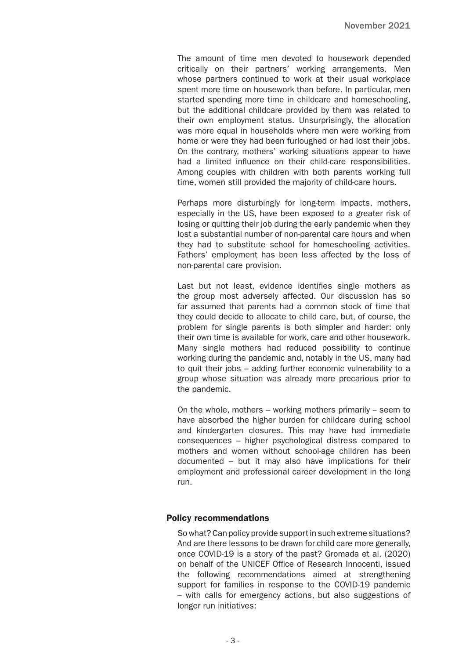The amount of time men devoted to housework depended critically on their partners' working arrangements. Men whose partners continued to work at their usual workplace spent more time on housework than before. In particular, men started spending more time in childcare and homeschooling, but the additional childcare provided by them was related to their own employment status. Unsurprisingly, the allocation was more equal in households where men were working from home or were they had been furloughed or had lost their jobs. On the contrary, mothers' working situations appear to have had a limited influence on their child-care responsibilities. Among couples with children with both parents working full time, women still provided the majority of child-care hours.

Perhaps more disturbingly for long-term impacts, mothers, especially in the US, have been exposed to a greater risk of losing or quitting their job during the early pandemic when they lost a substantial number of non-parental care hours and when they had to substitute school for homeschooling activities. Fathers' employment has been less affected by the loss of non-parental care provision.

Last but not least, evidence identifies single mothers as the group most adversely affected. Our discussion has so far assumed that parents had a common stock of time that they could decide to allocate to child care, but, of course, the problem for single parents is both simpler and harder: only their own time is available for work, care and other housework. Many single mothers had reduced possibility to continue working during the pandemic and, notably in the US, many had to quit their jobs – adding further economic vulnerability to a group whose situation was already more precarious prior to the pandemic.

On the whole, mothers – working mothers primarily – seem to have absorbed the higher burden for childcare during school and kindergarten closures. This may have had immediate consequences – higher psychological distress compared to mothers and women without school-age children has been documented – but it may also have implications for their employment and professional career development in the long run.

#### Policy recommendations

So what? Can policy provide support in such extreme situations? And are there lessons to be drawn for child care more generally, once COVID-19 is a story of the past? Gromada et al. (2020) on behalf of the UNICEF Office of Research Innocenti, issued the following recommendations aimed at strengthening support for families in response to the COVID-19 pandemic – with calls for emergency actions, but also suggestions of longer run initiatives: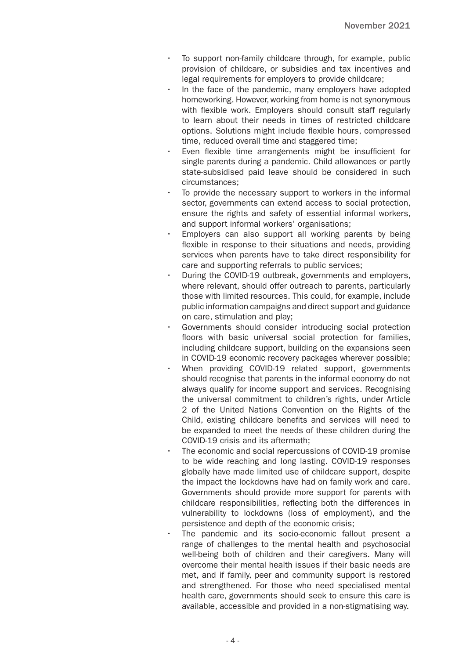- To support non-family childcare through, for example, public provision of childcare, or subsidies and tax incentives and legal requirements for employers to provide childcare;
- In the face of the pandemic, many employers have adopted homeworking. However, working from home is not synonymous with flexible work. Employers should consult staff regularly to learn about their needs in times of restricted childcare options. Solutions might include flexible hours, compressed time, reduced overall time and staggered time;
- Even flexible time arrangements might be insufficient for single parents during a pandemic. Child allowances or partly state-subsidised paid leave should be considered in such circumstances;
- To provide the necessary support to workers in the informal sector, governments can extend access to social protection, ensure the rights and safety of essential informal workers, and support informal workers' organisations;
- Employers can also support all working parents by being flexible in response to their situations and needs, providing services when parents have to take direct responsibility for care and supporting referrals to public services;
- During the COVID-19 outbreak, governments and employers, where relevant, should offer outreach to parents, particularly those with limited resources. This could, for example, include public information campaigns and direct support and guidance on care, stimulation and play;
- Governments should consider introducing social protection floors with basic universal social protection for families, including childcare support, building on the expansions seen in COVID-19 economic recovery packages wherever possible;
- When providing COVID-19 related support, governments should recognise that parents in the informal economy do not always qualify for income support and services. Recognising the universal commitment to children's rights, under Article 2 of the United Nations Convention on the Rights of the Child, existing childcare benefits and services will need to be expanded to meet the needs of these children during the COVID-19 crisis and its aftermath;
- The economic and social repercussions of COVID-19 promise to be wide reaching and long lasting. COVID-19 responses globally have made limited use of childcare support, despite the impact the lockdowns have had on family work and care. Governments should provide more support for parents with childcare responsibilities, reflecting both the differences in vulnerability to lockdowns (loss of employment), and the persistence and depth of the economic crisis;
- The pandemic and its socio-economic fallout present a range of challenges to the mental health and psychosocial well-being both of children and their caregivers. Many will overcome their mental health issues if their basic needs are met, and if family, peer and community support is restored and strengthened. For those who need specialised mental health care, governments should seek to ensure this care is available, accessible and provided in a non-stigmatising way.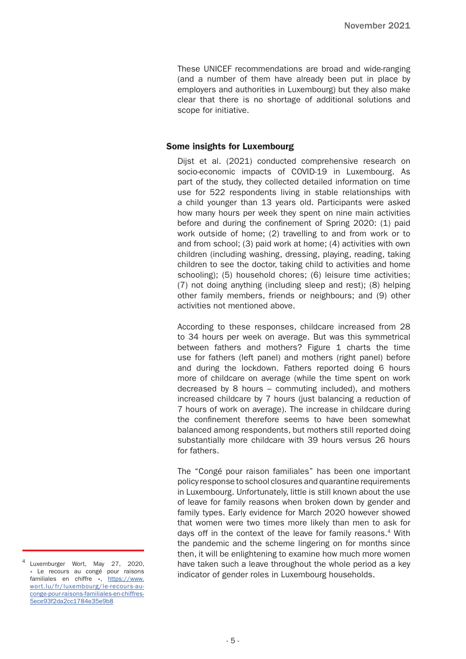These UNICEF recommendations are broad and wide-ranging (and a number of them have already been put in place by employers and authorities in Luxembourg) but they also make clear that there is no shortage of additional solutions and scope for initiative.

## Some insights for Luxembourg

Dijst et al. (2021) conducted comprehensive research on socio-economic impacts of COVID-19 in Luxembourg. As part of the study, they collected detailed information on time use for 522 respondents living in stable relationships with a child younger than 13 years old. Participants were asked how many hours per week they spent on nine main activities before and during the confinement of Spring 2020: (1) paid work outside of home; (2) travelling to and from work or to and from school; (3) paid work at home; (4) activities with own children (including washing, dressing, playing, reading, taking children to see the doctor, taking child to activities and home schooling); (5) household chores; (6) leisure time activities; (7) not doing anything (including sleep and rest); (8) helping other family members, friends or neighbours; and (9) other activities not mentioned above.

According to these responses, childcare increased from 28 to 34 hours per week on average. But was this symmetrical between fathers and mothers? Figure 1 charts the time use for fathers (left panel) and mothers (right panel) before and during the lockdown. Fathers reported doing 6 hours more of childcare on average (while the time spent on work decreased by 8 hours – commuting included), and mothers increased childcare by 7 hours (just balancing a reduction of 7 hours of work on average). The increase in childcare during the confinement therefore seems to have been somewhat balanced among respondents, but mothers still reported doing substantially more childcare with 39 hours versus 26 hours for fathers.

The "Congé pour raison familiales" has been one important policy response to school closures and quarantine requirements in Luxembourg. Unfortunately, little is still known about the use of leave for family reasons when broken down by gender and family types. Early evidence for March 2020 however showed that women were two times more likely than men to ask for days off in the context of the leave for family reasons.4 With the pandemic and the scheme lingering on for months since then, it will be enlightening to examine how much more women have taken such a leave throughout the whole period as a key indicator of gender roles in Luxembourg households.

Luxemburger Wort, May 27, 2020, « Le recours au congé pour raisons familiales en chiffre », [https://www.](https://www.wort.lu/fr/luxembourg/le-recours-au-conge-pour-raisons-familiales-en-chiffres-5ece93f2da) [wort.lu/fr/luxembourg/le-recours-au](https://www.wort.lu/fr/luxembourg/le-recours-au-conge-pour-raisons-familiales-en-chiffres-5ece93f2da)[conge-pour-raisons-familiales-en-chiffres-](https://www.wort.lu/fr/luxembourg/le-recours-au-conge-pour-raisons-familiales-en-chiffres-5ece93f2da)[5ece93f2da2cc1784e35e9b8](https://www.wort.lu/fr/luxembourg/le-recours-au-conge-pour-raisons-familiales-en-chiffres-5ece93f2da)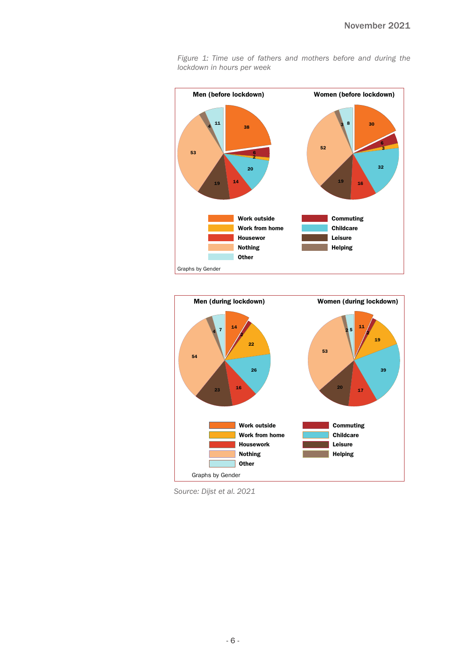

*Figure 1: Time use of fathers and mothers before and during the lockdown in hours per week* 



*Source: Dijst et al. 2021*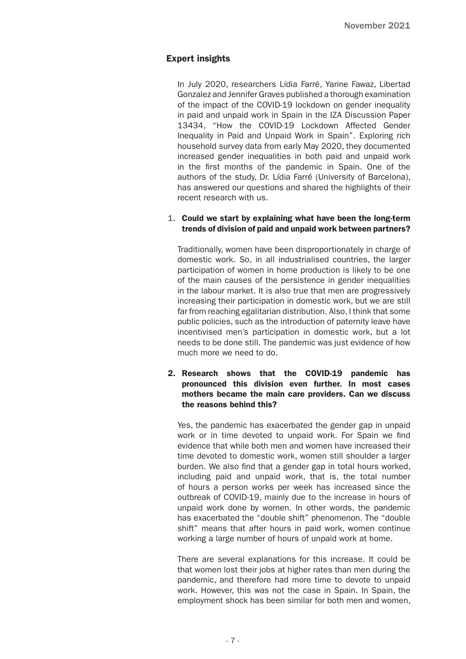# Expert insights

In July 2020, researchers Lídia Farré, Yarine Fawaz, Libertad Gonzalez and Jennifer Graves published a thorough examination of the impact of the COVID-19 lockdown on gender inequality in paid and unpaid work in Spain in the IZA Discussion Paper 13434, "How the COVID-19 Lockdown Affected Gender Inequality in Paid and Unpaid Work in Spain". Exploring rich household survey data from early May 2020, they documented increased gender inequalities in both paid and unpaid work in the first months of the pandemic in Spain. One of the authors of the study, Dr. Lídia Farré (University of Barcelona), has answered our questions and shared the highlights of their recent research with us.

## 1. Could we start by explaining what have been the long-term trends of division of paid and unpaid work between partners?

Traditionally, women have been disproportionately in charge of domestic work. So, in all industrialised countries, the larger participation of women in home production is likely to be one of the main causes of the persistence in gender inequalities in the labour market. It is also true that men are progressively increasing their participation in domestic work, but we are still far from reaching egalitarian distribution. Also, I think that some public policies, such as the introduction of paternity leave have incentivised men's participation in domestic work, but a lot needs to be done still. The pandemic was just evidence of how much more we need to do.

# 2. Research shows that the COVID-19 pandemic has pronounced this division even further. In most cases mothers became the main care providers. Can we discuss the reasons behind this?

Yes, the pandemic has exacerbated the gender gap in unpaid work or in time devoted to unpaid work. For Spain we find evidence that while both men and women have increased their time devoted to domestic work, women still shoulder a larger burden. We also find that a gender gap in total hours worked, including paid and unpaid work, that is, the total number of hours a person works per week has increased since the outbreak of COVID-19, mainly due to the increase in hours of unpaid work done by women. In other words, the pandemic has exacerbated the "double shift" phenomenon. The "double shift" means that after hours in paid work, women continue working a large number of hours of unpaid work at home.

There are several explanations for this increase. It could be that women lost their jobs at higher rates than men during the pandemic, and therefore had more time to devote to unpaid work. However, this was not the case in Spain. In Spain, the employment shock has been similar for both men and women,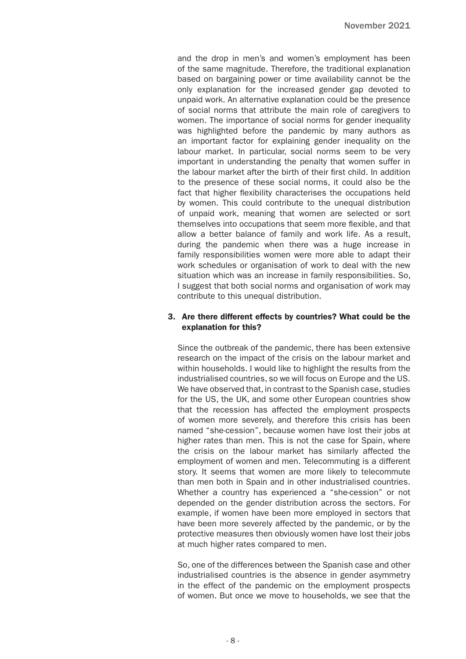and the drop in men's and women's employment has been of the same magnitude. Therefore, the traditional explanation based on bargaining power or time availability cannot be the only explanation for the increased gender gap devoted to unpaid work. An alternative explanation could be the presence of social norms that attribute the main role of caregivers to women. The importance of social norms for gender inequality was highlighted before the pandemic by many authors as an important factor for explaining gender inequality on the labour market. In particular, social norms seem to be very important in understanding the penalty that women suffer in the labour market after the birth of their first child. In addition to the presence of these social norms, it could also be the fact that higher flexibility characterises the occupations held by women. This could contribute to the unequal distribution of unpaid work, meaning that women are selected or sort themselves into occupations that seem more flexible, and that allow a better balance of family and work life. As a result, during the pandemic when there was a huge increase in family responsibilities women were more able to adapt their work schedules or organisation of work to deal with the new situation which was an increase in family responsibilities. So, I suggest that both social norms and organisation of work may contribute to this unequal distribution.

#### 3. Are there different effects by countries? What could be the explanation for this?

Since the outbreak of the pandemic, there has been extensive research on the impact of the crisis on the labour market and within households. I would like to highlight the results from the industrialised countries, so we will focus on Europe and the US. We have observed that, in contrast to the Spanish case, studies for the US, the UK, and some other European countries show that the recession has affected the employment prospects of women more severely, and therefore this crisis has been named "she-cession", because women have lost their jobs at higher rates than men. This is not the case for Spain, where the crisis on the labour market has similarly affected the employment of women and men. Telecommuting is a different story. It seems that women are more likely to telecommute than men both in Spain and in other industrialised countries. Whether a country has experienced a "she-cession" or not depended on the gender distribution across the sectors. For example, if women have been more employed in sectors that have been more severely affected by the pandemic, or by the protective measures then obviously women have lost their jobs at much higher rates compared to men.

So, one of the differences between the Spanish case and other industrialised countries is the absence in gender asymmetry in the effect of the pandemic on the employment prospects of women. But once we move to households, we see that the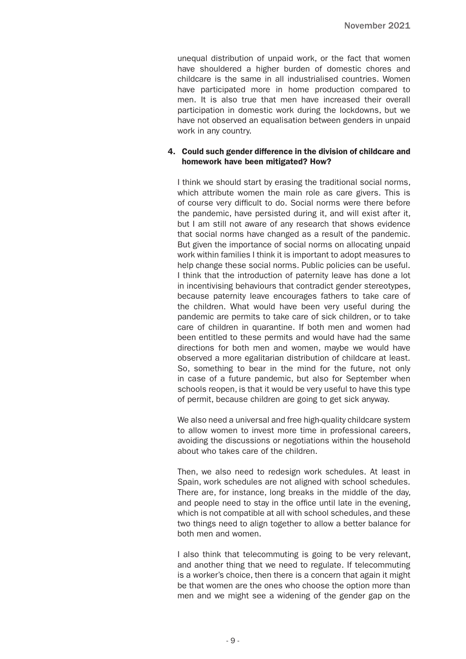unequal distribution of unpaid work, or the fact that women have shouldered a higher burden of domestic chores and childcare is the same in all industrialised countries. Women have participated more in home production compared to men. It is also true that men have increased their overall participation in domestic work during the lockdowns, but we have not observed an equalisation between genders in unpaid work in any country.

#### 4. Could such gender difference in the division of childcare and homework have been mitigated? How?

I think we should start by erasing the traditional social norms, which attribute women the main role as care givers. This is of course very difficult to do. Social norms were there before the pandemic, have persisted during it, and will exist after it, but I am still not aware of any research that shows evidence that social norms have changed as a result of the pandemic. But given the importance of social norms on allocating unpaid work within families I think it is important to adopt measures to help change these social norms. Public policies can be useful. I think that the introduction of paternity leave has done a lot in incentivising behaviours that contradict gender stereotypes, because paternity leave encourages fathers to take care of the children. What would have been very useful during the pandemic are permits to take care of sick children, or to take care of children in quarantine. If both men and women had been entitled to these permits and would have had the same directions for both men and women, maybe we would have observed a more egalitarian distribution of childcare at least. So, something to bear in the mind for the future, not only in case of a future pandemic, but also for September when schools reopen, is that it would be very useful to have this type of permit, because children are going to get sick anyway.

We also need a universal and free high-quality childcare system to allow women to invest more time in professional careers, avoiding the discussions or negotiations within the household about who takes care of the children.

Then, we also need to redesign work schedules. At least in Spain, work schedules are not aligned with school schedules. There are, for instance, long breaks in the middle of the day, and people need to stay in the office until late in the evening, which is not compatible at all with school schedules, and these two things need to align together to allow a better balance for both men and women.

I also think that telecommuting is going to be very relevant, and another thing that we need to regulate. If telecommuting is a worker's choice, then there is a concern that again it might be that women are the ones who choose the option more than men and we might see a widening of the gender gap on the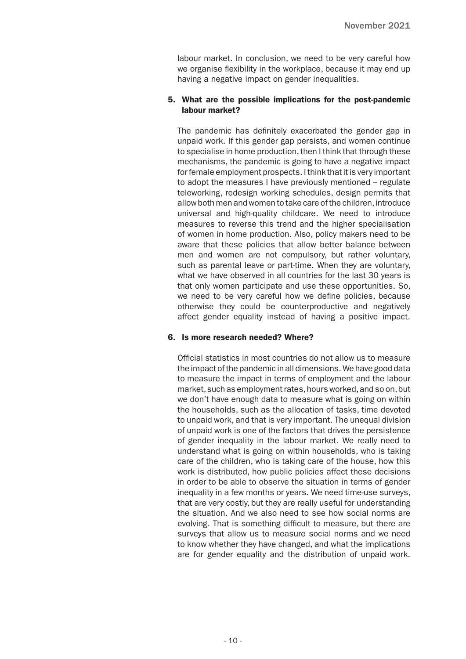labour market. In conclusion, we need to be very careful how we organise flexibility in the workplace, because it may end up having a negative impact on gender inequalities.

## 5. What are the possible implications for the post-pandemic labour market?

The pandemic has definitely exacerbated the gender gap in unpaid work. If this gender gap persists, and women continue to specialise in home production, then I think that through these mechanisms, the pandemic is going to have a negative impact for female employment prospects. I think that it is very important to adopt the measures I have previously mentioned – regulate teleworking, redesign working schedules, design permits that allow both men and women to take care of the children, introduce universal and high-quality childcare. We need to introduce measures to reverse this trend and the higher specialisation of women in home production. Also, policy makers need to be aware that these policies that allow better balance between men and women are not compulsory, but rather voluntary, such as parental leave or part-time. When they are voluntary, what we have observed in all countries for the last 30 years is that only women participate and use these opportunities. So, we need to be very careful how we define policies, because otherwise they could be counterproductive and negatively affect gender equality instead of having a positive impact.

#### 6. Is more research needed? Where?

Official statistics in most countries do not allow us to measure the impact of the pandemic in all dimensions. We have good data to measure the impact in terms of employment and the labour market, such as employment rates, hours worked, and so on, but we don't have enough data to measure what is going on within the households, such as the allocation of tasks, time devoted to unpaid work, and that is very important. The unequal division of unpaid work is one of the factors that drives the persistence of gender inequality in the labour market. We really need to understand what is going on within households, who is taking care of the children, who is taking care of the house, how this work is distributed, how public policies affect these decisions in order to be able to observe the situation in terms of gender inequality in a few months or years. We need time-use surveys, that are very costly, but they are really useful for understanding the situation. And we also need to see how social norms are evolving. That is something difficult to measure, but there are surveys that allow us to measure social norms and we need to know whether they have changed, and what the implications are for gender equality and the distribution of unpaid work.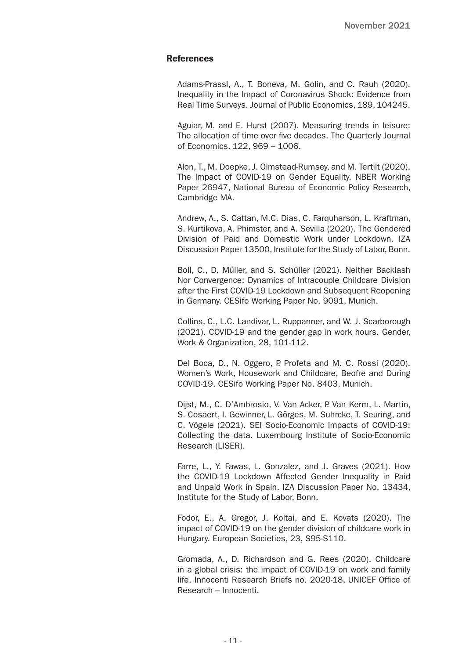#### References

Adams-Prassl, A., T. Boneva, M. Golin, and C. Rauh (2020). Inequality in the Impact of Coronavirus Shock: Evidence from Real Time Surveys. Journal of Public Economics, 189, 104245.

Aguiar, M. and E. Hurst (2007). Measuring trends in leisure: The allocation of time over five decades. The Quarterly Journal of Economics, 122, 969 – 1006.

Alon, T., M. Doepke, J. Olmstead-Rumsey, and M. Tertilt (2020). The Impact of COVID-19 on Gender Equality. NBER Working Paper 26947, National Bureau of Economic Policy Research, Cambridge MA.

Andrew, A., S. Cattan, M.C. Dias, C. Farquharson, L. Kraftman, S. Kurtikova, A. Phimster, and A. Sevilla (2020). The Gendered Division of Paid and Domestic Work under Lockdown. IZA Discussion Paper 13500, Institute for the Study of Labor, Bonn.

Boll, C., D. Müller, and S. Schüller (2021). Neither Backlash Nor Convergence: Dynamics of Intracouple Childcare Division after the First COVID-19 Lockdown and Subsequent Reopening in Germany. CESifo Working Paper No. 9091, Munich.

Collins, C., L.C. Landivar, L. Ruppanner, and W. J. Scarborough (2021). COVID-19 and the gender gap in work hours. Gender, Work & Organization, 28, 101-112.

Del Boca, D., N. Oggero, P. Profeta and M. C. Rossi (2020). Women's Work, Housework and Childcare, Beofre and During COVID-19. CESifo Working Paper No. 8403, Munich.

Dijst, M., C. D'Ambrosio, V. Van Acker, P. Van Kerm, L. Martin, S. Cosaert, I. Gewinner, L. Görges, M. Suhrcke, T. Seuring, and C. Vögele (2021). SEI Socio-Economic Impacts of COVID-19: Collecting the data. Luxembourg Institute of Socio-Economic Research (LISER).

Farre, L., Y. Fawas, L. Gonzalez, and J. Graves (2021). How the COVID-19 Lockdown Affected Gender Inequality in Paid and Unpaid Work in Spain. IZA Discussion Paper No. 13434, Institute for the Study of Labor, Bonn.

Fodor, E., A. Gregor, J. Koltai, and E. Kovats (2020). The impact of COVID-19 on the gender division of childcare work in Hungary. European Societies, 23, S95-S110.

Gromada, A., D. Richardson and G. Rees (2020). Childcare in a global crisis: the impact of COVID-19 on work and family life. Innocenti Research Briefs no. 2020-18, UNICEF Office of Research – Innocenti.